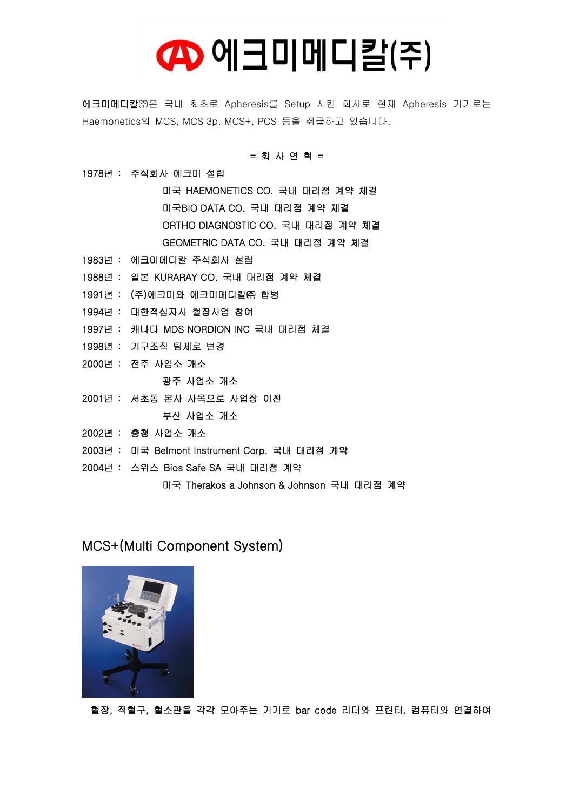

에크미메디칼㈜은 국내 최초로 Apheresis를 Setup 시킨 회사로 현재 Apheresis 기기로는 Haemonetics의 MCS, MCS 3p, MCS+, PCS 등을 취급하고 있습니다.

### = 회 사 연 혁 =

### 1978년 : 주식회사 에크미 설립

- 미국 HAEMONETICS CO. 국내 대리점 계약 체결 미국BIO DATA CO. 국내 대리점 계약 체결 ORTHO DIAGNOSTIC CO. 국내 대리점 계약 체결 GEOMETRIC DATA CO. 국내 대리점 계약 체결
- 1983년 : 에크미메디칼 주식회사 설립
- 1988년 : 일본 KURARAY CO. 국내 대리점 계약 체결
- 1991년 : (주)에크미와 에크미메디칼㈜ 합병
- 1994년 : 대한적십자사 혈장사업 참여
- 1997년 : 캐나다 MDS NORDION INC 국내 대리점 체결
- 1998년 : 기구조직 팀제로 변경
- 2000년 : 전주 사업소 개소
	- 광주 사업소 개소
- 2001년 : 서초동 본사 사옥으로 사업장 이전 부산 사업소 개소
- 2002년 : 충청 사업소 개소
- 2003년 : 미국 Belmont Instrument Corp. 국내 대리점 계약
- 2004년 : 스위스 Bios Safe SA 국내 대리점 계약

미국 Therakos a Johnson & Johnson 국내 대리점 계약

# MCS+(Multi Component System)



혈장, 적혈구, 혈소판을 각각 모아주는 기기로 bar code 리더와 프린터, 컴퓨터와 연결하여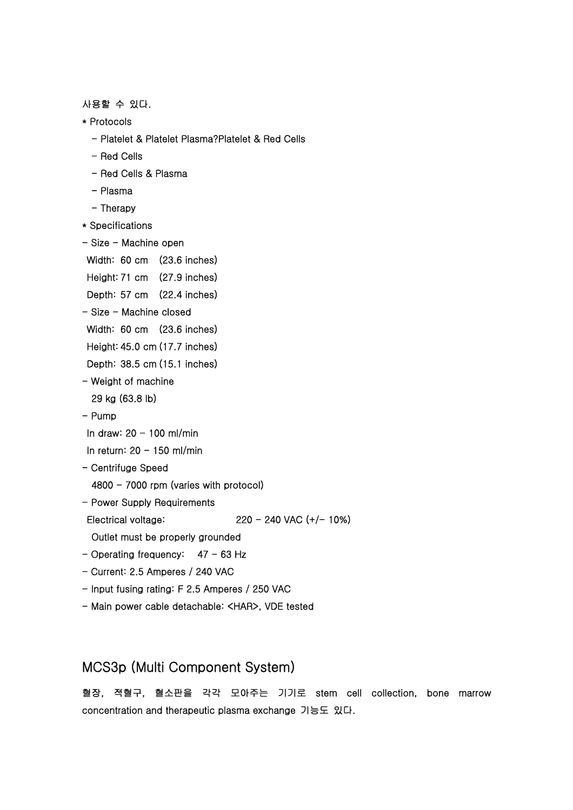#### 사용할 수 있다.

\* Protocols

- Platelet & Platelet Plasma?Platelet & Red Cells
- Red Cells
- Red Cells & Plasma
- Plasma
- Therapy
- \* Specifications
- Size Machine open

Width: 60 cm (23.6 inches)

- Height: 71 cm (27.9 inches)
- Depth: 57 cm (22.4 inches)
- Size Machine closed
- Width: 60 cm (23.6 inches)
- Height: 45.0 cm (17.7 inches)
- Depth: 38.5 cm (15.1 inches)
- Weight of machine
	- 29 kg (63.8 lb)
- Pump
- In draw:  $20 100$  ml/min
- In return:  $20 150$  ml/min
- Centrifuge Speed
	- 4800 7000 rpm (varies with protocol)
- Power Supply Requirements
- Electrical voltage:  $220 240$  VAC  $(+/- 10%)$
- Outlet must be properly grounded
- $-$  Operating frequency:  $47 63$  Hz
- Current: 2.5 Amperes / 240 VAC
- Input fusing rating: F 2.5 Amperes / 250 VAC
- Main power cable detachable: <HAR>, VDE tested

## MCS3p (Multi Component System)

혈장, 적혈구, 혈소판을 각각 모아주는 기기로 stem cell collection, bone marrow concentration and therapeutic plasma exchange 기능도 있다.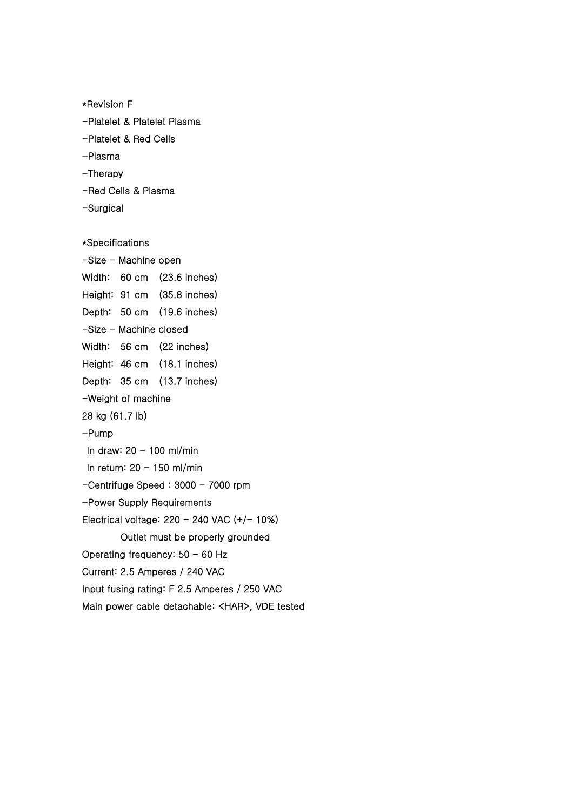\*Revision F

- -Platelet & Platelet Plasma
- -Platelet & Red Cells
- -Plasma
- -Therapy
- -Red Cells & Plasma
- -Surgical

\*Specifications -Size - Machine open Width: 60 cm (23.6 inches) Height: 91 cm (35.8 inches) Depth: 50 cm (19.6 inches) -Size - Machine closed Width: 56 cm (22 inches) Height: 46 cm (18.1 inches) Depth: 35 cm (13.7 inches) -Weight of machine 28 kg (61.7 lb) -Pump In draw:  $20 - 100$  ml/min In return:  $20 - 150$  ml/min  $-$ Centrifuge Speed : 3000  $-$  7000 rpm -Power Supply Requirements Electrical voltage:  $220 - 240$  VAC  $(+/- 10%)$  Outlet must be properly grounded Operating frequency:  $50 - 60$  Hz Current: 2.5 Amperes / 240 VAC Input fusing rating: F 2.5 Amperes / 250 VAC Main power cable detachable: <HAR>, VDE tested